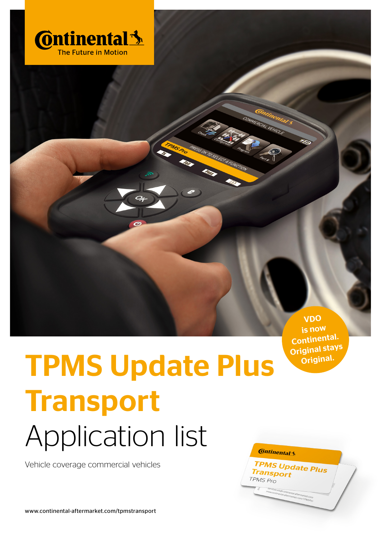

VDO is now Continental. Original stays Original.

*TPMS Update Plus*<br>Transport

Transport TPMS Pro

## TPMS Update Plus **Transport** Application list **Continental 3**

Vehicle coverage commercial vehicles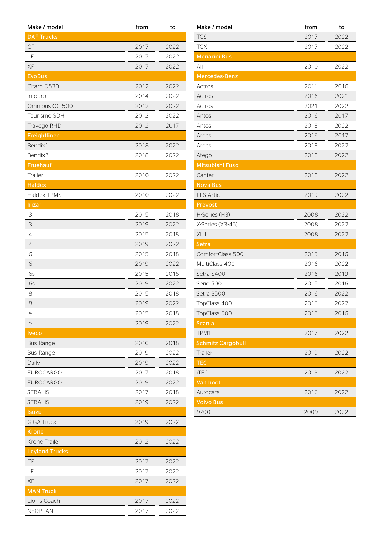| Make / model          | from | to   |
|-----------------------|------|------|
| <b>DAF Trucks</b>     |      |      |
| CF                    | 2017 | 2022 |
| LF                    | 2017 | 2022 |
| XF                    | 2017 | 2022 |
| <b>EvoBus</b>         |      |      |
| Citaro 0530           | 2012 | 2022 |
| Intouro               | 2014 | 2022 |
| Omnibus OC 500        | 2012 | 2022 |
| Tourismo SDH          | 2012 | 2022 |
| Travego RHD           | 2012 | 2017 |
| Freightliner          |      |      |
| Bendix1               | 2018 | 2022 |
| Bendix2               | 2018 | 2022 |
| Fruehauf              |      |      |
| Trailer               | 2010 | 2022 |
| <b>Haldex</b>         |      |      |
| Haldex TPMS           | 2010 | 2022 |
| <b>Irizar</b>         |      |      |
| iЗ                    | 2015 | 2018 |
| iЗ                    | 2019 | 2022 |
| i4                    | 2015 | 2018 |
| i4                    | 2019 | 2022 |
| i6                    | 2015 | 2018 |
| i6                    | 2019 | 2022 |
| i6s                   | 2015 | 2018 |
| i6s                   | 2019 | 2022 |
| i8                    | 2015 | 2018 |
| i8                    | 2019 | 2022 |
| ie                    | 2015 | 2018 |
| ie                    | 2019 | 2022 |
| <b>Iveco</b>          |      |      |
| <b>Bus Range</b>      | 2010 | 2018 |
| <b>Bus Range</b>      | 2019 | 2022 |
| Daily                 | 2019 | 2022 |
| <b>EUROCARGO</b>      | 2017 | 2018 |
| <b>EUROCARGO</b>      | 2019 | 2022 |
| <b>STRALIS</b>        | 2017 | 2018 |
| <b>STRALIS</b>        | 2019 | 2022 |
| Isuzu                 |      |      |
| <b>GIGA Truck</b>     | 2019 | 2022 |
| <b>Krone</b>          |      |      |
| Krone Trailer         | 2012 | 2022 |
| <b>Leyland Trucks</b> |      |      |
|                       |      |      |
| CF                    | 2017 | 2022 |
| LF                    | 2017 | 2022 |
| XF                    | 2017 | 2022 |
| <b>MAN Truck</b>      |      |      |
| Lion's Coach          | 2017 | 2022 |
| NEOPLAN               | 2017 | 2022 |

| Make / model             | from | to   |
|--------------------------|------|------|
| <b>TGS</b>               | 2017 | 2022 |
| <b>TGX</b>               | 2017 | 2022 |
| <b>Menarini Bus</b>      |      |      |
| All                      | 2010 | 2022 |
| Mercedes-Benz            |      |      |
| Actros                   | 2011 | 2016 |
| Actros                   | 2016 | 2021 |
| Actros                   | 2021 | 2022 |
| Antos                    | 2016 | 2017 |
| Antos                    | 2018 | 2022 |
| Arocs                    | 2016 | 2017 |
| Arocs                    | 2018 | 2022 |
| Atego                    | 2018 | 2022 |
| Mitsubishi Fuso          |      |      |
| Canter                   | 2018 | 2022 |
| <b>Nova Bus</b>          |      |      |
| <b>LFS Artic</b>         | 2019 | 2022 |
| Prevost                  |      |      |
| H-Series (H3)            | 2008 | 2022 |
| X-Series (X3-45)         | 2008 | 2022 |
| XLII                     | 2008 | 2022 |
| <b>Setra</b>             |      |      |
| ComfortClass 500         | 2015 | 2016 |
| MultiClass 400           | 2016 | 2022 |
| Setra S400               | 2016 | 2019 |
| Serie 500                | 2015 | 2016 |
| Setra S500               | 2016 | 2022 |
| TopClass 400             | 2016 | 2022 |
| TopClass 500             | 2015 | 2016 |
| <b>Scania</b>            |      |      |
| TPM1                     | 2017 | 2022 |
| <b>Schmitz Cargobull</b> |      |      |
| Trailer                  | 2019 | 2022 |
| <b>TEC</b>               |      |      |
| <b>iTEC</b>              | 2019 | 2022 |
| Van hool                 |      |      |
| Autocars                 | 2016 | 2022 |
| <b>Volvo Bus</b>         |      |      |
| 9700                     | 2009 | 2022 |